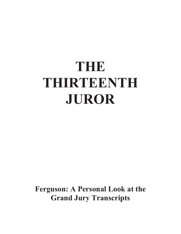# **THE THIRTEENTH JUROR**

**Ferguson: A Personal Look at the Grand Jury Transcripts**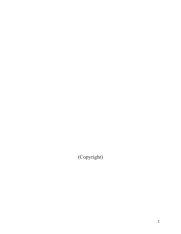(Copyright)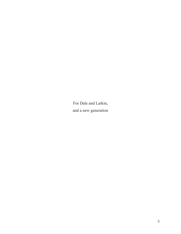For Dale and Larkin, and a new generation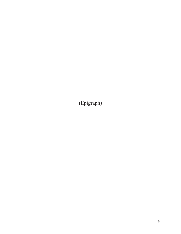(Epigraph)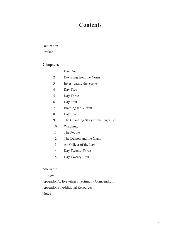# **Contents**

#### Dedication

Preface

# **Chapters**

- 1 Day One
- 2 Deviating from the Norm
- 3 Investigating the Scene
- 4 Day Two
- 5 Day Three
- 6 Day Four
- 7 Blaming the Victim?
- 8 Day Five
- 9 The Changing Story of the Cigarillos
- 10 Watching
- 11 The People
- 12 The Demon and the Giant
- 13 An Officer of the Law
- 14 Day Twenty-Three
- 15 Day Twenty-Four

### Afterword

Epilogue

Appendix A: Eyewitness Testimony Compendium

Appendix B: Additional Resources

Notes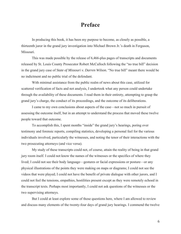# **Preface**

In producing this book, it has been my purpose to become, as closely as possible, a thirteenth juror in the grand jury investigation into Michael Brown Jr.'s death in Ferguson, Missouri.

This was made possible by the release of 6,466-plus pages of transcripts and documents released by St. Louis County Prosecutor Robert McCulloch following the "no true bill" decision in the grand jury case of *State of Missouri v. Darren Wilson.* "No true bill" meant there would be no indictment and no public trial of the defendant.

With minimal assistance from the public realm of news about this case, utilized for scattered verification of facts and not analysis, I undertook what any person could undertake through the availability of these documents. I read them in their entirety, attempting to grasp the grand jury's charge, the conduct of its proceedings, and the outcome of its deliberations.

I came to my own conclusions about aspects of the case—not so much in pursuit of assessing the outcome itself, but in an attempt to understand the process that moved these twelve people toward that outcome.

To accomplish this, I spent months "inside" the grand jury's hearings, poring over testimony and forensic reports, compiling statistics, developing a personal feel for the various individuals involved, particularly the witnesses, and noting the tenor of their interactions with the two prosecuting attorneys (and vice versa).

My study of these transcripts could not, of course, attain the reality of being in that grand jury room itself. I could not know the names of the witnesses or the specifics of where they lived; I could not see their body language—gestures or facial expressions or posture—or any physical illustrations of the points they were making on maps or diagrams; I could not see the videos that were played; I could not have the benefit of private dialogue with other jurors, and I could not feel the tensions, empathies, hostilities present except as they were remotely echoed in the transcript texts. Perhaps most importantly, I could not ask questions of the witnesses or the two supervising attorneys.

But I could at least explore some of those questions here, where I am allowed to review and discuss many elements of the twenty-four days of grand jury hearings. I commend the twelve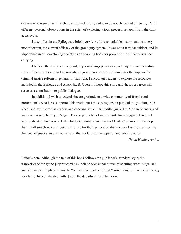citizens who were given this charge as grand jurors, and who obviously served diligently. And I offer my personal observations in the spirit of exploring a total process, set apart from the daily news cycle.

I also offer, in the Epilogue, a brief overview of the remarkable history and, to a very modest extent, the current efficacy of the grand jury system. It was not a familiar subject, and its importance in our developing society as an enabling body for power of the citizenry has been edifying.

I believe the study of this grand jury's workings provides a pathway for understanding some of the recent calls and arguments for grand jury reform. It illuminates the impetus for criminal justice reform in general. In that light, I encourage readers to explore the resources included in the Epilogue and Appendix B. Overall, I hope this story and these resources will serve as a contribution to public dialogue.

In addition, I wish to extend sincere gratitude to a wide community of friends and professionals who have supported this work, but I must recognize in particular my editor, A.D. Reed, and my in-process readers and cheering squad: Dr. Judith Quick, Dr. Marian Spencer, and inveterate researcher Lynn Vogel. They kept my belief in this work from flagging. Finally, I have dedicated this book to Dale Holder Clemmons and Larkin Meade Clemmons in the hope that it will somehow contribute to a future for their generation that comes closer to manifesting the ideal of justice, in our country and the world, that we hope for and work towards.

*Nelda Holder, Author*

Editor's note: Although the text of this book follows the publisher's standard style, the transcripts of the grand jury proceedings include occasional quirks of spelling, word usage, and use of numerals in place of words. We have not made editorial "corrections" but, when necessary for clarity, have, indicated with "[sic]" the departure from the norm.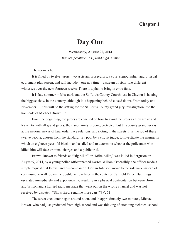# **Chapter 1**

# **Day One**

**Wednesday, August 20, 2014**

*High temperature 91 F, wind high 38 mph*

The room is hot.

It is filled by twelve jurors, two assistant prosecutors, a court stenographer, audio-visual equipment plus screen, and will include—one at a time—a stream of sixty-two different witnesses over the next fourteen weeks. There is a plan to bring in extra fans.

It is late summer in Missouri, and the St. Louis County Courthouse in Clayton is hosting the biggest show in the country, although it is happening behind closed doors. From today until November 13, this will be the setting for the St. Louis County grand jury investigation into the homicide of Michael Brown, Jr.

From the beginning, the jurors are coached on how to avoid the press as they arrive and leave. As with all grand jurors, their anonymity is being protected, but this county grand jury is at the national nexus of law, order, race relations, and rioting in the streets. It is the job of these twelve people, chosen from the standard jury pool by a circuit judge, to investigate the manner in which an eighteen-year-old black man has died and to determine whether the policeman who killed him will face criminal charges and a public trial.

Brown, known to friends as "Big Mike" or "Mike-Mike," was killed in Ferguson on August 9, 2014, by a young police officer named Darren Wilson. Ostensibly, the officer made a simple request that Brown and his companion, Dorian Johnson, move to the sidewalk instead of continuing to walk down the double yellow lines in the center of Canfield Drive. But things escalated immediately and exponentially, resulting in a physical confrontation between Brown and Wilson and a hurried radio message that went out on the wrong channel and was not received by dispatch: "Shots fired, send me more cars."<sup>1</sup>[V, 71]

The street encounter began around noon, and in approximately two minutes, Michael Brown, who had just graduated from high school and was thinking of attending technical school,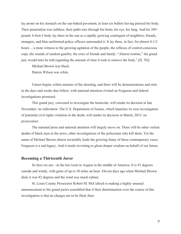lay prone on his stomach on the sun-baked pavement, at least six bullets having pierced his body. Their penetration was ruthless; their paths tore through his brain, his eye, his lung. And his 289 pound, 6-foot-5 body lay there in the sun as a rapidly growing contingent of neighbors, friends, strangers, and blue-uniformed police officers surrounded it. It lay there, in fact, for almost 4-1/2 hours ... a mute witness to the growing agitation of the people, the reflexes of control-conscious cops, the sounds of random gunfire, the cries of friends and family. "Almost routine," the grand jury would later be told regarding the amount of time it took to remove the body.<sup>2</sup> [II, 70]

Michael Brown was black.

Darren Wilson was white.

Unrest begins within minutes of the shooting, and there will be demonstrations and riots in the days and weeks that follow, with national attention riveted on Ferguson and federal investigations promised.

This grand jury, convened to investigate the homicide, will render its decision in late November: *no indictment*. The U.S. Department of Justice, which launches its own investigation of potential civil rights violation in the death, will render its decision in March, 2015: *no prosecution*.

The national press and national attention will largely move on. There will be other violent deaths of black men in the news, other investigations of the policemen who kill them. Yet the name of Michael Brown almost invariably leads the growing litany of these contemporary cases. Ferguson is a sad legacy. And it needs revisiting to glean deeper wisdom on behalf of our future.

#### **Becoming a Thirteenth Juror**

So here we are—in the hot room in August in the middle of America. It is 91 degrees outside and windy, with gusts of up to 38 miles an hour. Eleven days ago when Michael Brown died, it was 82 degrees and the wind was much calmer.

St. Louis County Prosecutor Robert M. McCulloch is making a highly unusual announcement to the grand jurors assembled that if their determination over the course of this investigation is that no charges are to be filed, then: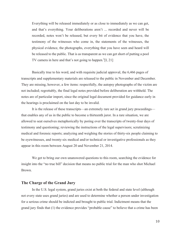Everything will be released immediately or as close to immediately as we can get, and that's everything. Your deliberations aren't ... recorded and never will be recorded, notes won't be released, but every bit of evidence that you have, the testimony of the witnesses who come in, the statements of the witnesses, the physical evidence, the photographs, everything that you have seen and heard will be released to the public. That is as transparent as we can get short of putting a pool TV camera in here and that's not going to happen.<sup>3</sup>[I, 21]

Basically true to his word, and with requisite judicial approval, the 6,466 pages of transcripts and supplementary materials are released to the public in November and December. They are missing, however, a few items: respectfully, the autopsy photographs of the victim are not included; regrettably, the final legal notes provided before deliberation are withheld. The notes are of particular import, since the original legal document provided for guidance early in the hearings is proclaimed on the last day to be invalid.

It is the release of these transcripts—an extremely rare act in grand jury proceedings that enables any of us in the public to become a thirteenth juror. In a rare situation, we are allowed to seat ourselves metaphorically by poring over the transcripts of twenty-four days of testimony and questioning; reviewing the instructions of the legal supervisors; scrutinizing medical and forensic reports; analyzing and weighing the stories of thirty-six people claiming to be eyewitnesses, and twenty-six medical and/or technical or investigative professionals as they appear in this room between August 20 and November 21, 2014.

We get to bring our own unanswered questions to this room, searching the evidence for insight into the "no true bill" decision that means no public trial for the man who shot Michael Brown.

#### **The Charge of the Grand Jury**

In the U.S. legal system, grand juries exist at both the federal and state level (although not every state uses grand juries) and are used to determine whether a person under investigation for a serious crime should be indicted and brought to public trial. Indictment means that the grand jury finds that (1) the evidence provides "probable cause" to believe that a crime has been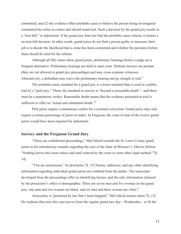committed, and (2) the evidence offers probable cause to believe the person being investigated committed the crime or crimes and should stand trial. Such a decision by the grand jury results in a "true bill," or indictment. If the grand jury does not find the probable cause criteria, it returns a no-true-bill decision. In other words, grand juries do not find a person guilty or innocent; their job is to decide the likelihood that a crime has been committed and whether the person(s) before them should be tried for the offense.

Although all fifty states allow grand juries, preliminary hearings before a judge are a frequent alternative. Preliminary hearings are held in open court. Defense lawyers are present (they are not allowed at grand jury proceedings) and may cross-examine witnesses. Alternatively, a defendant may waive the preliminary hearing and go straight to trial.<sup>4</sup>

The probable-cause standard for a grand jury is a lower standard than is used in a public trial by a "petit jury." There, the standard to convict is "beyond a reasonable doubt"—and there must be a unanimous verdict. Reasonable doubt means that the evidence presented at trial is sufficient to offer no "actual and substantial doubt."<sup>5</sup>

Petit juries require a unanimous verdict for a criminal conviction. Grand juries may only require a certain percentage of jurors to indict. In Ferguson, the votes of nine of the twelve grand jurors would have been required for indictment.

# **Secrecy and the Ferguson Grand Jury**

"These are confidential proceedings," McCulloch reminds the St. Louis County grand jurors in his introductory remarks regarding the case of the *State of Missouri v. Darren Wilson*. "Nothing leaves this room unless and until ordered by the court or some other legal method."6 [I, 14]

"You are anonymous," he proclaims.<sup>7</sup>[I, 15] Names, addresses, and any other identifying information regarding individual grand jurors are withheld from the public. The transcripts developed from the proceedings offer no identifying factors, and the only information released by the prosecutor's office is demographic: There are seven men and five women on the grand jury; one man and two women are black, and six men and three women are white.<sup>8</sup>

Anonymity is "protected by law that's been litigated," McCulloch assures them. $\frac{9}{1}$ , 15] He explains that once this case moves from the regular grand jury day—Wednesday—to fit the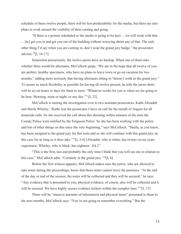schedule of these twelve people, there will be less predictability for the media, but there are also plans to work around the visibility of their coming and going.

"If there is a protest scheduled or the media is going to be here ... we will work with that ... [to] get you in and get you out of the building without worrying about any of that. The only other thing I'd say when you are coming in, don't wear the grand jury badge," the prosecutor advises. $^{10}$ [I, 16-17]

Somewhat precariously, the twelve jurors have no backup. When one of them asks whether there would be alternates, McCulloch quips, "We are in the hope that all twelve of you are perfect, healthy specimens, who have no plans to leave town or go on vacation for two months," adding more seriously that having alternates sitting in "doesn't work in the grand jury." To assure as much flexibility as possible for having all twelve present, he tells the jurors there will be no set hours or days for them to meet. "Whatever works for you is when we are going to be here. Morning, noon or night, or any day." $1$ <sup>[I</sup>], 22]

McCulloch is turning the investigation over to two assistant prosecutors, Kathi Alizadeh and Sheila Whirley. "Kathi was the prosecutor I have on call for the month of August for all homicide calls. So she received the call about this shooting within minutes of the time the County Police were notified by the Ferguson Police. So she has been working with the police and lots of other things on this since the very beginning," says McCulloch. "Sheila, as you know, has been assigned to the grand jury for this term and so she will continue with this grand jury on this case for as long as it does take." $^{12}$ [I, 5-6] [Alizadeh, who is white, has twenty-seven years experience; Whirley, who is black, has eighteen.  $-Ed.$ <sup>13</sup>

"This is the first, last and probably the only time I think that you will see me in relation to this case," McCulloch adds. "Certainly in the grand jury."<sup>14</sup>[I, 6]

Before the first witness appears, McCulloch makes sure the jurors, who are allowed to take notes during the proceedings, know that those notes cannot leave the premises. "At the end of the day or end of the session, the notes will be collected and they will be secured," he says. "Any evidence that is presented to you, physical evidence, of course, also will be collected and it will be secured. We have highly secure evidence lockers within the complex here."<sup>15</sup>[I, 17]

There will be "massive amounts of information and physical items" presented to them in the next months, McCulloch says. "You're not going to remember everything." But the